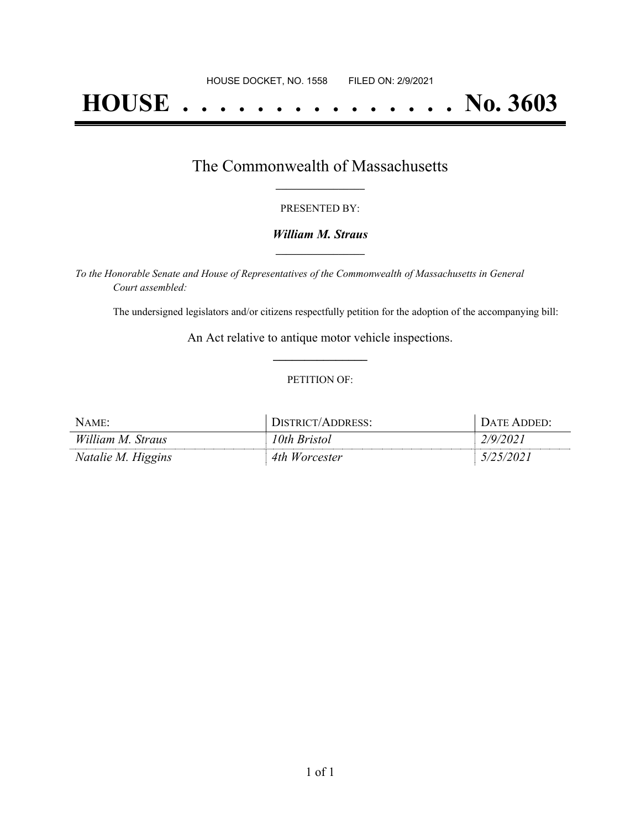# **HOUSE . . . . . . . . . . . . . . . No. 3603**

## The Commonwealth of Massachusetts **\_\_\_\_\_\_\_\_\_\_\_\_\_\_\_\_\_**

#### PRESENTED BY:

#### *William M. Straus* **\_\_\_\_\_\_\_\_\_\_\_\_\_\_\_\_\_**

*To the Honorable Senate and House of Representatives of the Commonwealth of Massachusetts in General Court assembled:*

The undersigned legislators and/or citizens respectfully petition for the adoption of the accompanying bill:

An Act relative to antique motor vehicle inspections. **\_\_\_\_\_\_\_\_\_\_\_\_\_\_\_**

#### PETITION OF:

| NAME:              | STRICT/ADDRESS:  | $\lambda$ TF<br>. ADDED: $\blacksquare$ |
|--------------------|------------------|-----------------------------------------|
| William M. Straus  | '0th Bristol     | 1/9/202                                 |
| Natalie M. Higgins | 4th<br>Worcester |                                         |